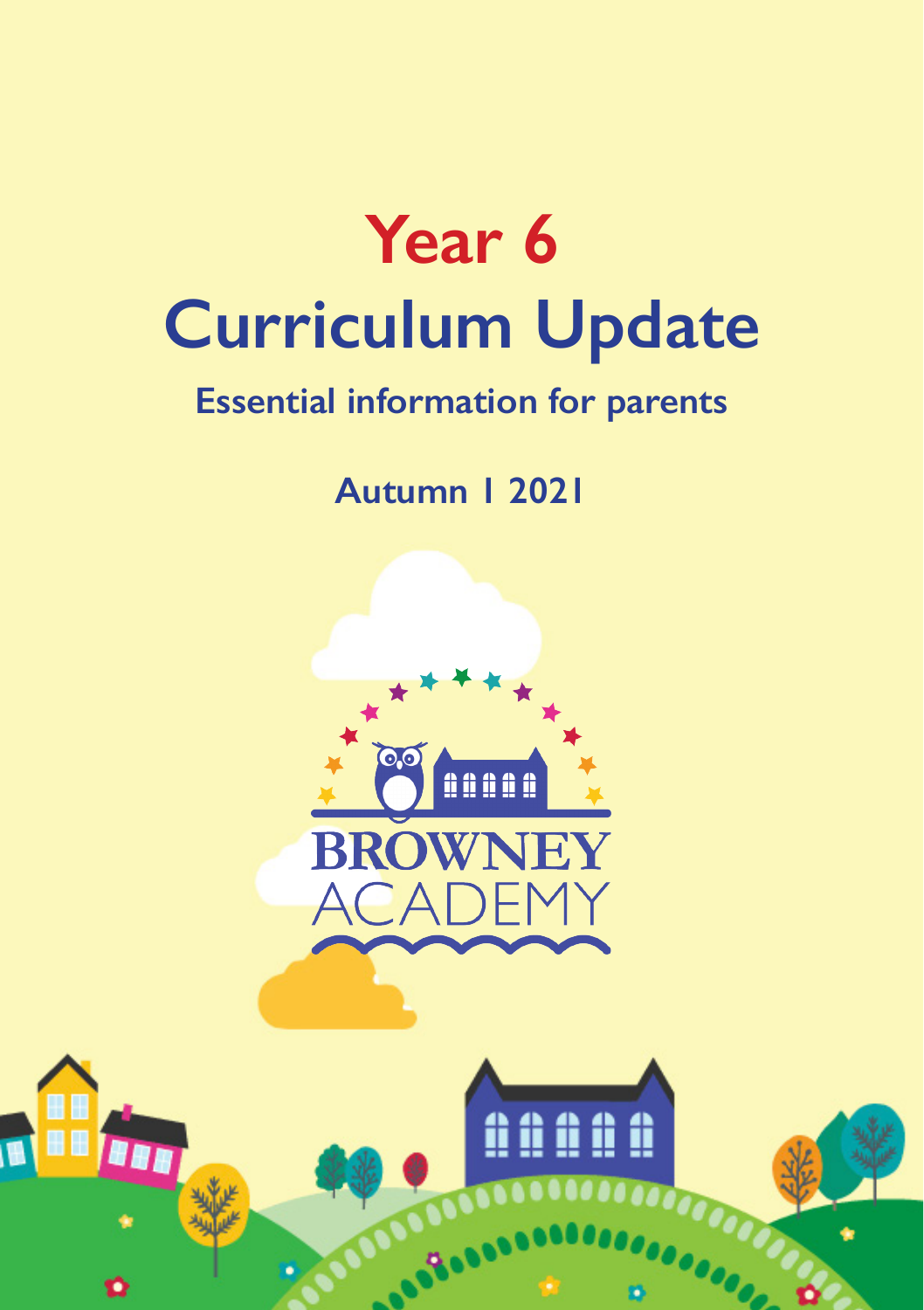

# **Essential information for parents**

**Autumn 1 2021**



**BBR** 

<u>û û û û û</u>

**OOOO**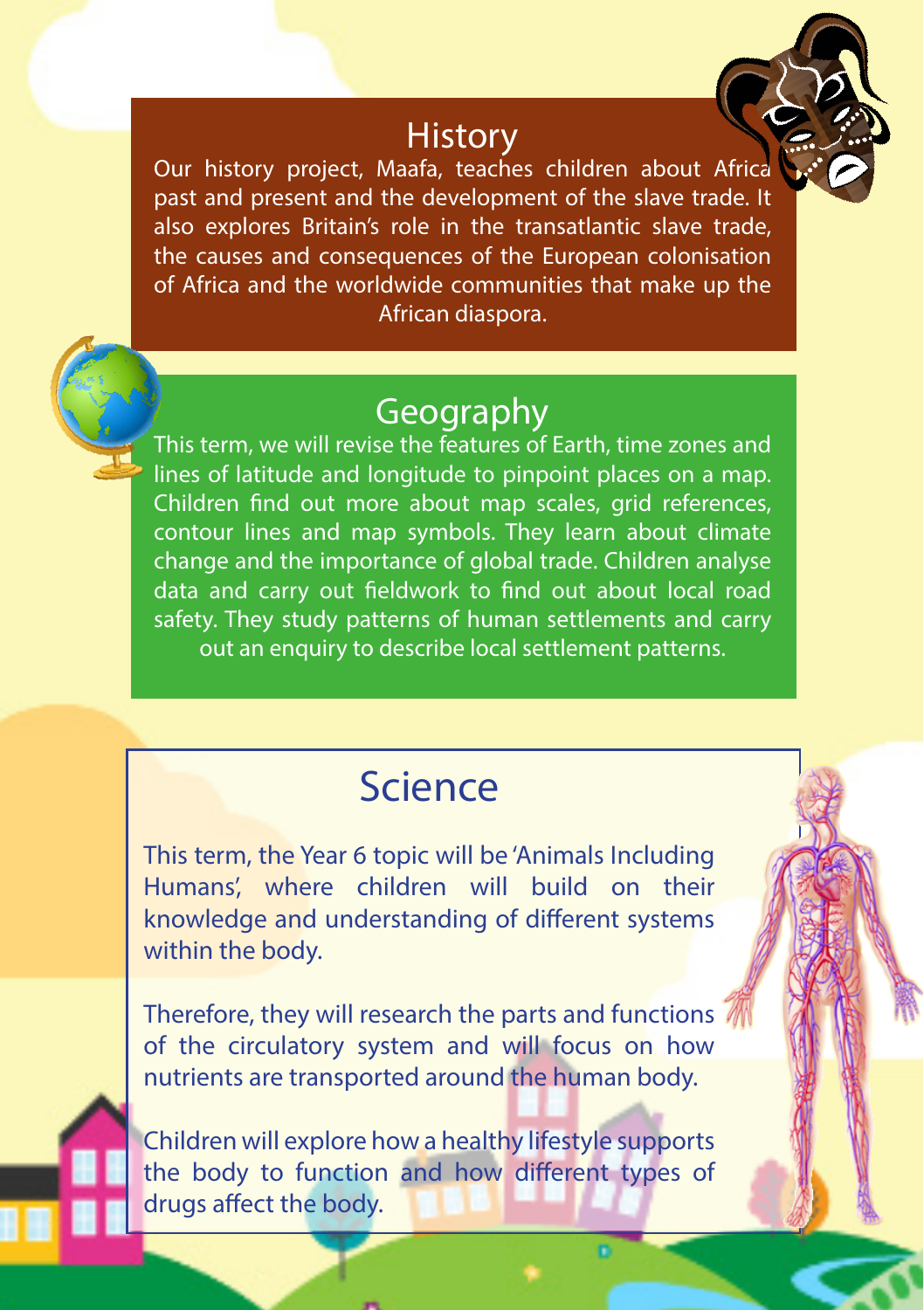#### **History**

Our history project, Maafa, teaches children about Africa past and present and the development of the slave trade. It also explores Britain's role in the transatlantic slave trade, the causes and consequences of the European colonisation of Africa and the worldwide communities that make up the African diaspora.

### Geography

This term, we will revise the features of Earth, time zones and lines of latitude and longitude to pinpoint places on a map. Children find out more about map scales, grid references, contour lines and map symbols. They learn about climate change and the importance of global trade. Children analyse data and carry out fieldwork to find out about local road safety. They study patterns of human settlements and carry out an enquiry to describe local settlement patterns.

# Science

This term, the Year 6 topic will be 'Animals Including Humans', where children will build on their knowledge and understanding of different systems within the body.

Therefore, they will research the parts and functions of the circulatory system and will focus on how nutrients are transported around the human body.

Children will explore how a healthy lifestyle supports the body to function and how different types of drugs affect the body.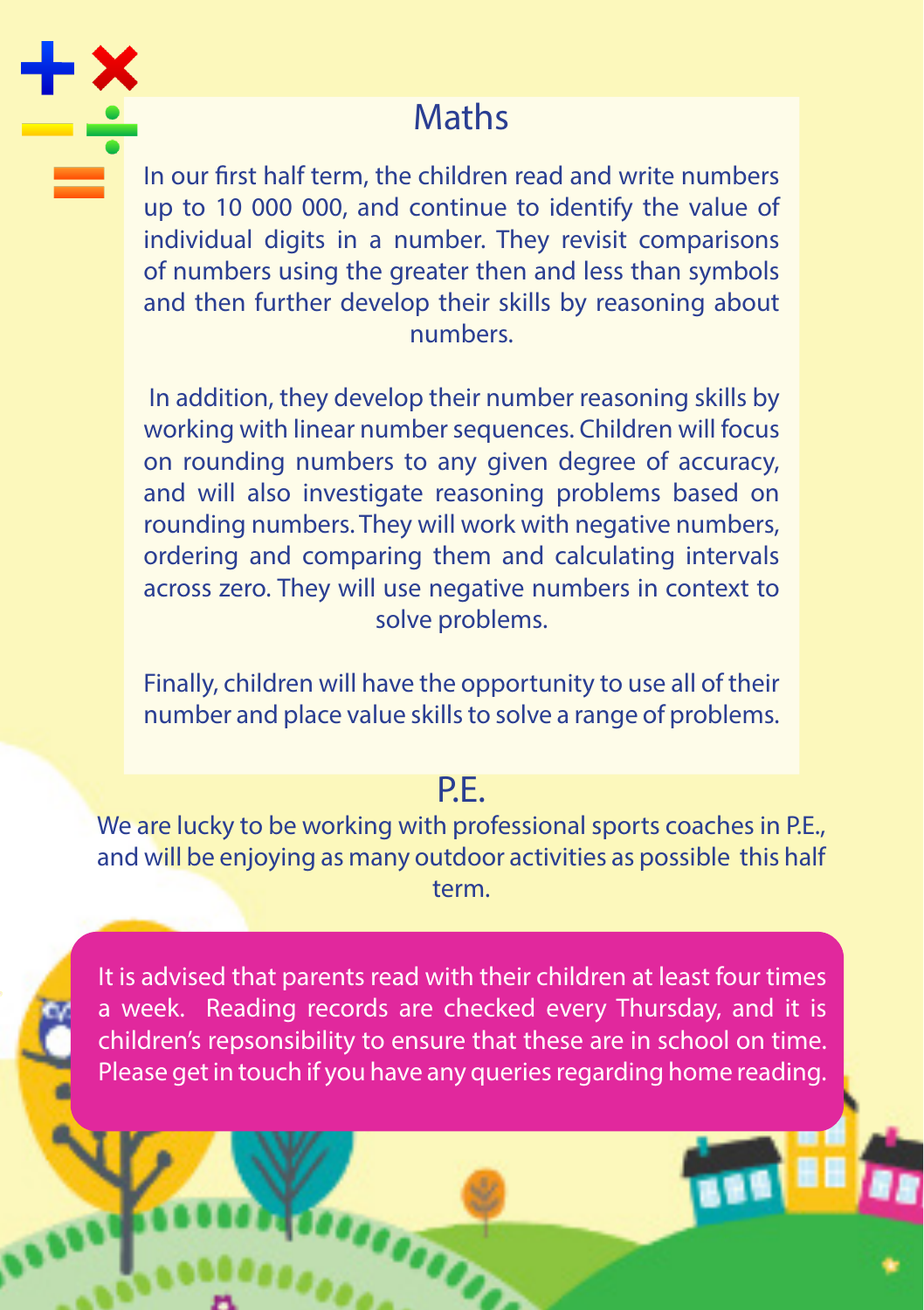# **Maths**

In our first half term, the children read and write numbers up to 10 000 000, and continue to identify the value of individual digits in a number. They revisit comparisons of numbers using the greater then and less than symbols and then further develop their skills by reasoning about numbers.

 In addition, they develop their number reasoning skills by working with linear number sequences. Children will focus on rounding numbers to any given degree of accuracy, and will also investigate reasoning problems based on rounding numbers. They will work with negative numbers, ordering and comparing them and calculating intervals across zero. They will use negative numbers in context to solve problems.

Finally, children will have the opportunity to use all of their number and place value skills to solve a range of problems.

### P.E.

We are lucky to be working with professional sports coaches in P.E., and will be enjoying as many outdoor activities as possible this half term.

It is advised that parents read with their children at least four times a week. Reading records are checked every Thursday, and it is children's repsonsibility to ensure that these are in school on time. Please get in touch if you have any queries regarding home reading.